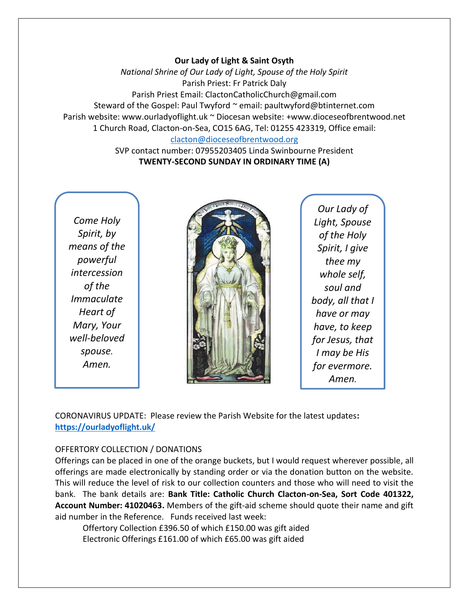### **Our Lady of Light & Saint Osyth**

*National Shrine of Our Lady of Light, Spouse of the Holy Spirit* Parish Priest: Fr Patrick Daly Parish Priest Email: ClactonCatholicChurch@gmail.com Steward of the Gospel: Paul Twyford ~ email: paultwyford@btinternet.com Parish website: www.ourladyoflight.uk ~ Diocesan website: +www.dioceseofbrentwood.net 1 Church Road, Clacton-on-Sea, CO15 6AG, Tel: 01255 423319, Office email: [clacton@dioceseofbrentwood.org](mailto:clacton@dioceseofbrentwood.org)

> SVP contact number: 07955203405 Linda Swinbourne President **TWENTY-SECOND SUNDAY IN ORDINARY TIME (A)**

*Come Holy Spirit, by means of the powerful intercession of the Immaculate Heart of Mary, Your well-beloved spouse. Amen.*



*Our Lady of Light, Spouse of the Holy Spirit, I give thee my whole self, soul and body, all that I have or may have, to keep for Jesus, that I may be His for evermore. Amen.*

CORONAVIRUS UPDATE: Please review the Parish Website for the latest updates**: <https://ourladyoflight.uk/>**

## OFFERTORY COLLECTION / DONATIONS

Offerings can be placed in one of the orange buckets, but I would request wherever possible, all offerings are made electronically by standing order or via the donation button on the website. This will reduce the level of risk to our collection counters and those who will need to visit the bank. The bank details are: **Bank Title: Catholic Church Clacton-on-Sea, Sort Code 401322, Account Number: 41020463.** Members of the gift-aid scheme should quote their name and gift aid number in the Reference. Funds received last week:

Offertory Collection £396.50 of which £150.00 was gift aided Electronic Offerings £161.00 of which £65.00 was gift aided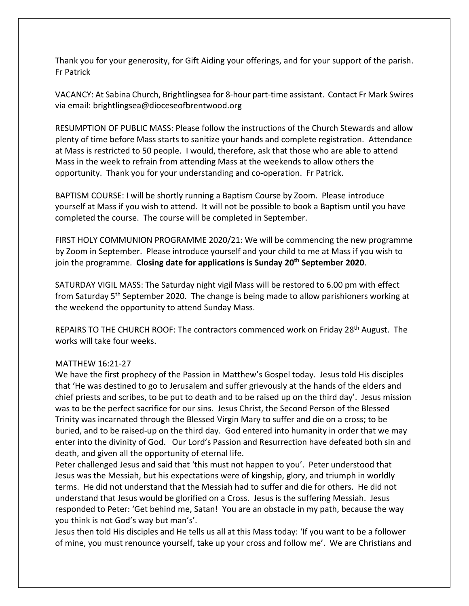Thank you for your generosity, for Gift Aiding your offerings, and for your support of the parish. Fr Patrick

VACANCY: At Sabina Church, Brightlingsea for 8-hour part-time assistant. Contact Fr Mark Swires via email: brightlingsea@dioceseofbrentwood.org

RESUMPTION OF PUBLIC MASS: Please follow the instructions of the Church Stewards and allow plenty of time before Mass starts to sanitize your hands and complete registration. Attendance at Mass is restricted to 50 people. I would, therefore, ask that those who are able to attend Mass in the week to refrain from attending Mass at the weekends to allow others the opportunity. Thank you for your understanding and co-operation. Fr Patrick.

BAPTISM COURSE: I will be shortly running a Baptism Course by Zoom. Please introduce yourself at Mass if you wish to attend. It will not be possible to book a Baptism until you have completed the course. The course will be completed in September.

FIRST HOLY COMMUNION PROGRAMME 2020/21: We will be commencing the new programme by Zoom in September. Please introduce yourself and your child to me at Mass if you wish to join the programme. **Closing date for applications is Sunday 20th September 2020**.

SATURDAY VIGIL MASS: The Saturday night vigil Mass will be restored to 6.00 pm with effect from Saturday 5th September 2020. The change is being made to allow parishioners working at the weekend the opportunity to attend Sunday Mass.

REPAIRS TO THE CHURCH ROOF: The contractors commenced work on Friday 28<sup>th</sup> August. The works will take four weeks.

## MATTHEW 16:21-27

We have the first prophecy of the Passion in Matthew's Gospel today. Jesus told His disciples that 'He was destined to go to Jerusalem and suffer grievously at the hands of the elders and chief priests and scribes, to be put to death and to be raised up on the third day'. Jesus mission was to be the perfect sacrifice for our sins. Jesus Christ, the Second Person of the Blessed Trinity was incarnated through the Blessed Virgin Mary to suffer and die on a cross; to be buried, and to be raised-up on the third day. God entered into humanity in order that we may enter into the divinity of God. Our Lord's Passion and Resurrection have defeated both sin and death, and given all the opportunity of eternal life.

Peter challenged Jesus and said that 'this must not happen to you'. Peter understood that Jesus was the Messiah, but his expectations were of kingship, glory, and triumph in worldly terms. He did not understand that the Messiah had to suffer and die for others. He did not understand that Jesus would be glorified on a Cross. Jesus is the suffering Messiah. Jesus responded to Peter: 'Get behind me, Satan! You are an obstacle in my path, because the way you think is not God's way but man's'.

Jesus then told His disciples and He tells us all at this Mass today: 'If you want to be a follower of mine, you must renounce yourself, take up your cross and follow me'. We are Christians and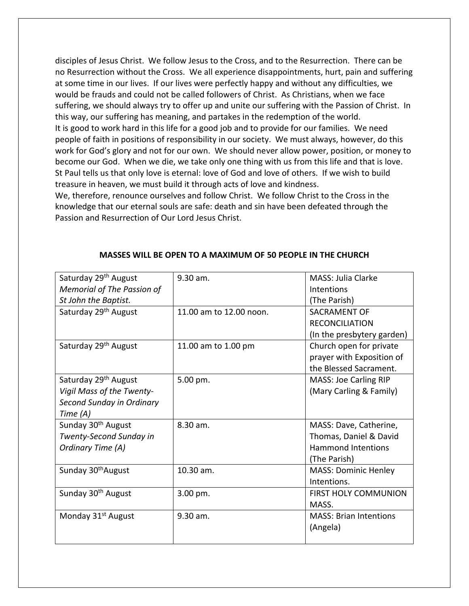disciples of Jesus Christ. We follow Jesus to the Cross, and to the Resurrection. There can be no Resurrection without the Cross. We all experience disappointments, hurt, pain and suffering at some time in our lives. If our lives were perfectly happy and without any difficulties, we would be frauds and could not be called followers of Christ. As Christians, when we face suffering, we should always try to offer up and unite our suffering with the Passion of Christ. In this way, our suffering has meaning, and partakes in the redemption of the world. It is good to work hard in this life for a good job and to provide for our families. We need people of faith in positions of responsibility in our society. We must always, however, do this work for God's glory and not for our own. We should never allow power, position, or money to become our God. When we die, we take only one thing with us from this life and that is love. St Paul tells us that only love is eternal: love of God and love of others. If we wish to build treasure in heaven, we must build it through acts of love and kindness.

We, therefore, renounce ourselves and follow Christ. We follow Christ to the Cross in the knowledge that our eternal souls are safe: death and sin have been defeated through the Passion and Resurrection of Our Lord Jesus Christ.

| Saturday 29 <sup>th</sup> August | 9.30 am.                | <b>MASS: Julia Clarke</b>     |
|----------------------------------|-------------------------|-------------------------------|
| Memorial of The Passion of       |                         | <b>Intentions</b>             |
| St John the Baptist.             |                         | (The Parish)                  |
| Saturday 29 <sup>th</sup> August | 11.00 am to 12.00 noon. | SACRAMENT OF                  |
|                                  |                         | <b>RECONCILIATION</b>         |
|                                  |                         | (In the presbytery garden)    |
| Saturday 29 <sup>th</sup> August | 11.00 am to 1.00 pm     | Church open for private       |
|                                  |                         | prayer with Exposition of     |
|                                  |                         | the Blessed Sacrament.        |
| Saturday 29 <sup>th</sup> August | 5.00 pm.                | <b>MASS: Joe Carling RIP</b>  |
| Vigil Mass of the Twenty-        |                         | (Mary Carling & Family)       |
| Second Sunday in Ordinary        |                         |                               |
| Time (A)                         |                         |                               |
| Sunday 30 <sup>th</sup> August   | $8.30$ am.              | MASS: Dave, Catherine,        |
| Twenty-Second Sunday in          |                         | Thomas, Daniel & David        |
| Ordinary Time (A)                |                         | <b>Hammond Intentions</b>     |
|                                  |                         | (The Parish)                  |
| Sunday 30 <sup>th</sup> August   | 10.30 am.               | <b>MASS: Dominic Henley</b>   |
|                                  |                         | Intentions.                   |
| Sunday 30 <sup>th</sup> August   | 3.00 pm.                | <b>FIRST HOLY COMMUNION</b>   |
|                                  |                         | MASS.                         |
| Monday 31 <sup>st</sup> August   | 9.30 am.                | <b>MASS: Brian Intentions</b> |
|                                  |                         | (Angela)                      |
|                                  |                         |                               |

### **MASSES WILL BE OPEN TO A MAXIMUM OF 50 PEOPLE IN THE CHURCH**